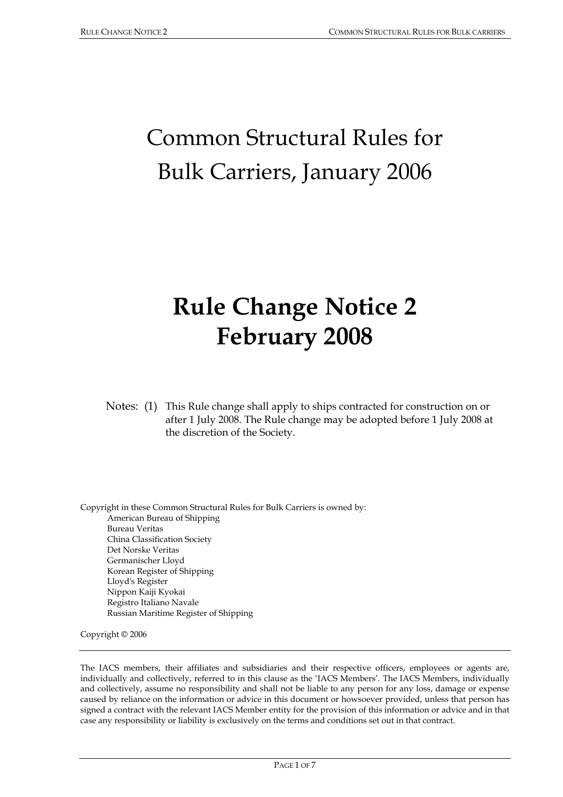# Common Structural Rules for Bulk Carriers, January 2006

# **Rule Change Notice 2 February 2008**

Notes: (1) This Rule change shall apply to ships contracted for construction on or after 1 July 2008. The Rule change may be adopted before 1 July 2008 at the discretion of the Society.

Copyright in these Common Structural Rules for Bulk Carriers is owned by: American Bureau of Shipping Bureau Veritas China Classification Society Det Norske Veritas Germanischer Lloyd Korean Register of Shipping Lloyd's Register Nippon Kaiji Kyokai Registro Italiano Navale Russian Maritime Register of Shipping

Copyright © 2006

The IACS members, their affiliates and subsidiaries and their respective officers, employees or agents are, individually and collectively, referred to in this clause as the 'IACS Members'. The IACS Members, individually and collectively, assume no responsibility and shall not be liable to any person for any loss, damage or expense caused by reliance on the information or advice in this document or howsoever provided, unless that person has signed a contract with the relevant IACS Member entity for the provision of this information or advice and in that case any responsibility or liability is exclusively on the terms and conditions set out in that contract.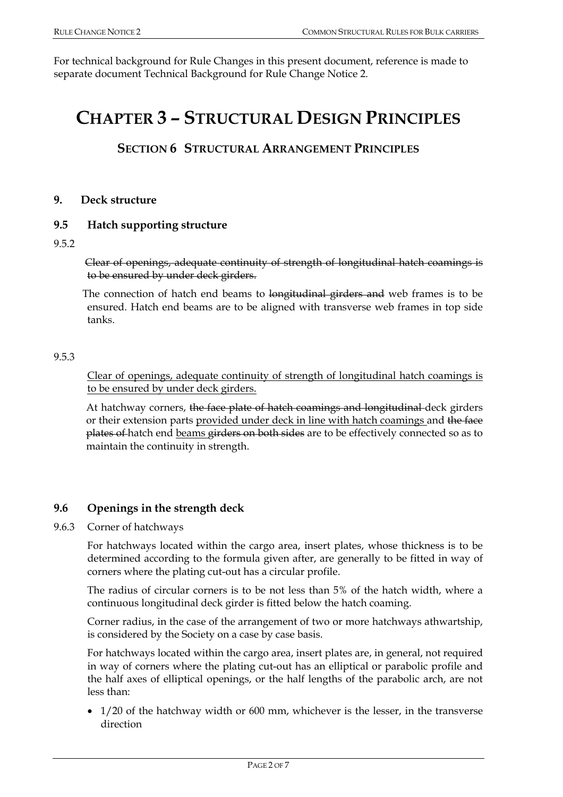For technical background for Rule Changes in this present document, reference is made to separate document Technical Background for Rule Change Notice 2.

# **CHAPTER 3 – STRUCTURAL DESIGN PRINCIPLES**

### **SECTION 6 STRUCTURAL ARRANGEMENT PRINCIPLES**

#### **9. Deck structure**

#### **9.5 Hatch supporting structure**

#### 9.5.2

 Clear of openings, adequate continuity of strength of longitudinal hatch coamings is to be ensured by under deck girders.

The connection of hatch end beams to longitudinal girders and web frames is to be ensured. Hatch end beams are to be aligned with transverse web frames in top side tanks.

#### 9.5.3

 Clear of openings, adequate continuity of strength of longitudinal hatch coamings is to be ensured by under deck girders.

At hatchway corners, the face plate of hatch coamings and longitudinal deck girders or their extension parts provided under deck in line with hatch coamings and the face plates of hatch end beams girders on both sides are to be effectively connected so as to maintain the continuity in strength.

#### **9.6 Openings in the strength deck**

#### 9.6.3 Corner of hatchways

For hatchways located within the cargo area, insert plates, whose thickness is to be determined according to the formula given after, are generally to be fitted in way of corners where the plating cut-out has a circular profile.

The radius of circular corners is to be not less than 5% of the hatch width, where a continuous longitudinal deck girder is fitted below the hatch coaming.

Corner radius, in the case of the arrangement of two or more hatchways athwartship, is considered by the Society on a case by case basis.

For hatchways located within the cargo area, insert plates are, in general, not required in way of corners where the plating cut-out has an elliptical or parabolic profile and the half axes of elliptical openings, or the half lengths of the parabolic arch, are not less than:

• 1/20 of the hatchway width or 600 mm, whichever is the lesser, in the transverse direction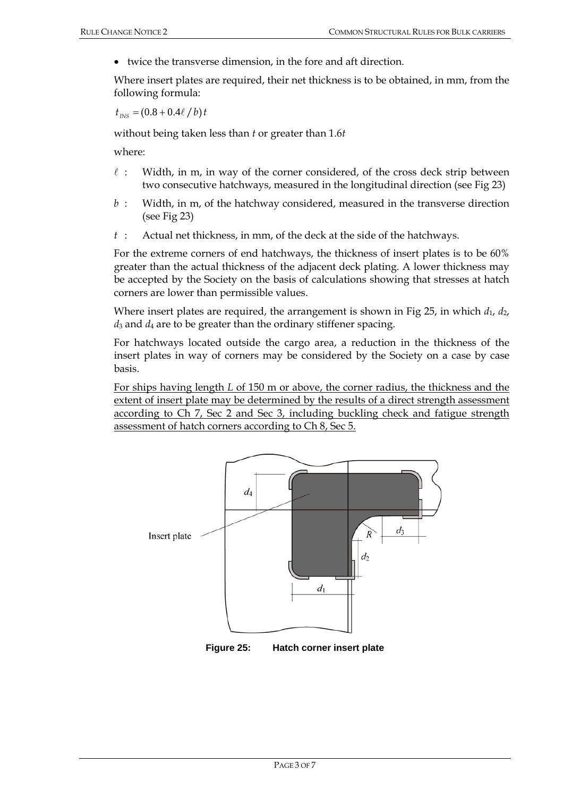• twice the transverse dimension, in the fore and aft direction.

Where insert plates are required, their net thickness is to be obtained, in mm, from the following formula:

 $t_{\text{INS}} = (0.8 + 0.4\ell / b)t$ 

without being taken less than *t* or greater than 1.6*t*

where:

- $\ell$ : Width, in m, in way of the corner considered, of the cross deck strip between two consecutive hatchways, measured in the longitudinal direction (see Fig 23)
- *b* : Width, in m, of the hatchway considered, measured in the transverse direction (see Fig 23)
- *t* : Actual net thickness, in mm, of the deck at the side of the hatchways.

For the extreme corners of end hatchways, the thickness of insert plates is to be 60% greater than the actual thickness of the adjacent deck plating. A lower thickness may be accepted by the Society on the basis of calculations showing that stresses at hatch corners are lower than permissible values.

Where insert plates are required, the arrangement is shown in Fig 25, in which  $d_1$ ,  $d_2$ ,  $d_3$  and  $d_4$  are to be greater than the ordinary stiffener spacing.

For hatchways located outside the cargo area, a reduction in the thickness of the insert plates in way of corners may be considered by the Society on a case by case basis.

For ships having length *L* of 150 m or above, the corner radius, the thickness and the extent of insert plate may be determined by the results of a direct strength assessment according to Ch 7, Sec 2 and Sec 3, including buckling check and fatigue strength assessment of hatch corners according to Ch 8, Sec 5.



**Figure 25: Hatch corner insert plate**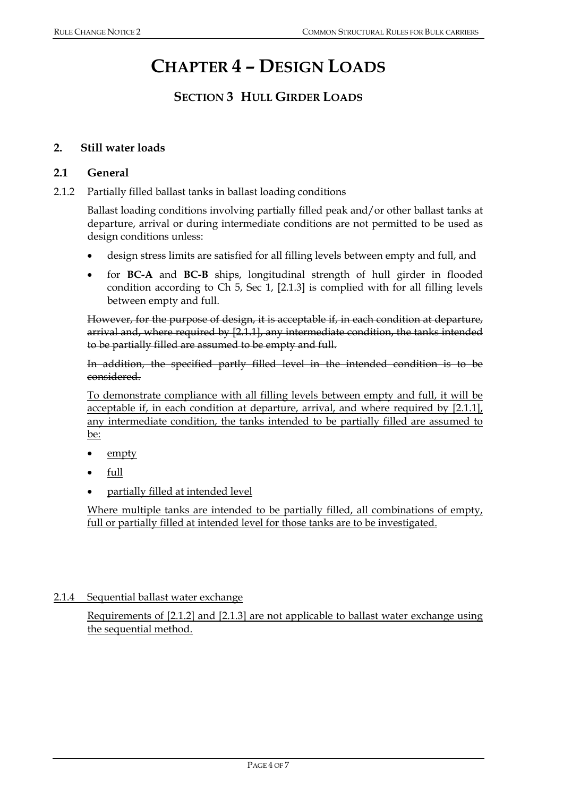# **CHAPTER 4 – DESIGN LOADS**

# **SECTION 3 HULL GIRDER LOADS**

#### **2. Still water loads**

#### **2.1 General**

2.1.2 Partially filled ballast tanks in ballast loading conditions

Ballast loading conditions involving partially filled peak and/or other ballast tanks at departure, arrival or during intermediate conditions are not permitted to be used as design conditions unless:

- design stress limits are satisfied for all filling levels between empty and full, and
- for **BC-A** and **BC-B** ships, longitudinal strength of hull girder in flooded condition according to Ch 5, Sec 1, [2.1.3] is complied with for all filling levels between empty and full.

However, for the purpose of design, it is acceptable if, in each condition at departure, arrival and, where required by [2.1.1], any intermediate condition, the tanks intended to be partially filled are assumed to be empty and full.

In addition, the specified partly filled level in the intended condition is to be considered.

To demonstrate compliance with all filling levels between empty and full, it will be acceptable if, in each condition at departure, arrival, and where required by [2.1.1], any intermediate condition, the tanks intended to be partially filled are assumed to be:

- empty
- full
- partially filled at intended level

Where multiple tanks are intended to be partially filled, all combinations of empty, full or partially filled at intended level for those tanks are to be investigated.

2.1.4 Sequential ballast water exchange

Requirements of [2.1.2] and [2.1.3] are not applicable to ballast water exchange using the sequential method.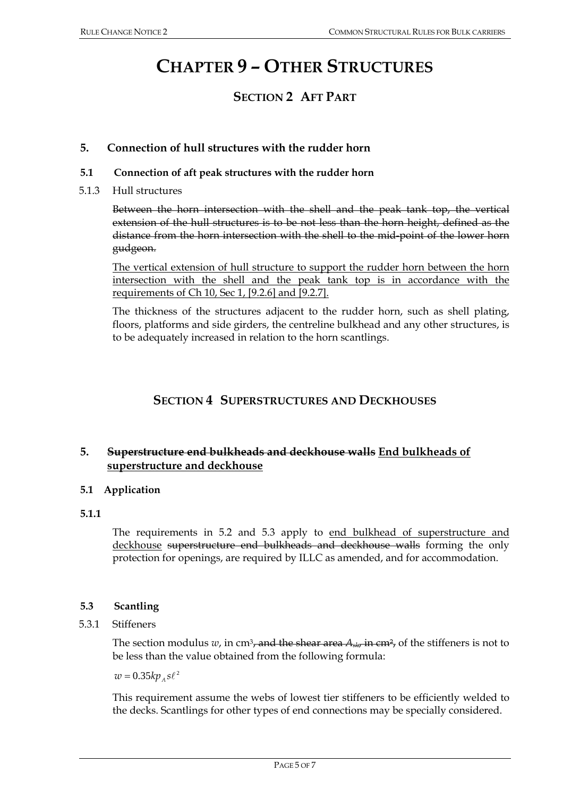# **CHAPTER 9 – OTHER STRUCTURES**

# **SECTION 2 AFT PART**

#### **5. Connection of hull structures with the rudder horn**

#### **5.1 Connection of aft peak structures with the rudder horn**

5.1.3 Hull structures

 Between the horn intersection with the shell and the peak tank top, the vertical extension of the hull structures is to be not less than the horn height, defined as the distance from the horn intersection with the shell to the mid-point of the lower horn gudgeon.

 The vertical extension of hull structure to support the rudder horn between the horn intersection with the shell and the peak tank top is in accordance with the requirements of Ch 10, Sec 1, [9.2.6] and [9.2.7].

 The thickness of the structures adjacent to the rudder horn, such as shell plating, floors, platforms and side girders, the centreline bulkhead and any other structures, is to be adequately increased in relation to the horn scantlings.

### **SECTION 4 SUPERSTRUCTURES AND DECKHOUSES**

### **5. Superstructure end bulkheads and deckhouse walls End bulkheads of superstructure and deckhouse**

#### **5.1 Application**

#### **5.1.1**

The requirements in 5.2 and 5.3 apply to end bulkhead of superstructure and deckhouse superstructure end bulkheads and deckhouse walls forming the only protection for openings, are required by ILLC as amended, and for accommodation.

#### **5.3 Scantling**

#### 5.3.1 Stiffeners

The section modulus *w*, in cm<sup>3</sup>, and the shear area  $A_{str}$  in cm<sup>2</sup>, of the stiffeners is not to be less than the value obtained from the following formula:

 $w = 0.35 k p_{A} s \ell^{2}$ 

 This requirement assume the webs of lowest tier stiffeners to be efficiently welded to the decks. Scantlings for other types of end connections may be specially considered.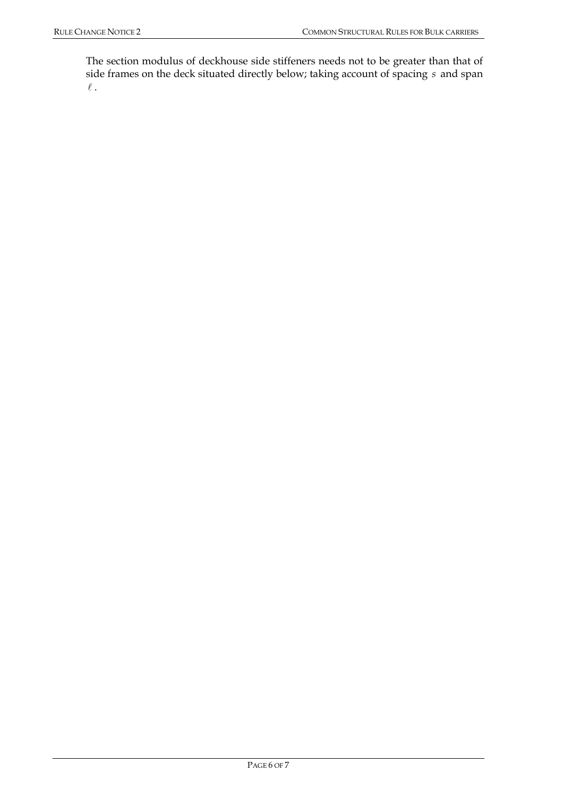The section modulus of deckhouse side stiffeners needs not to be greater than that of side frames on the deck situated directly below; taking account of spacing *s* and span  $\ell$  .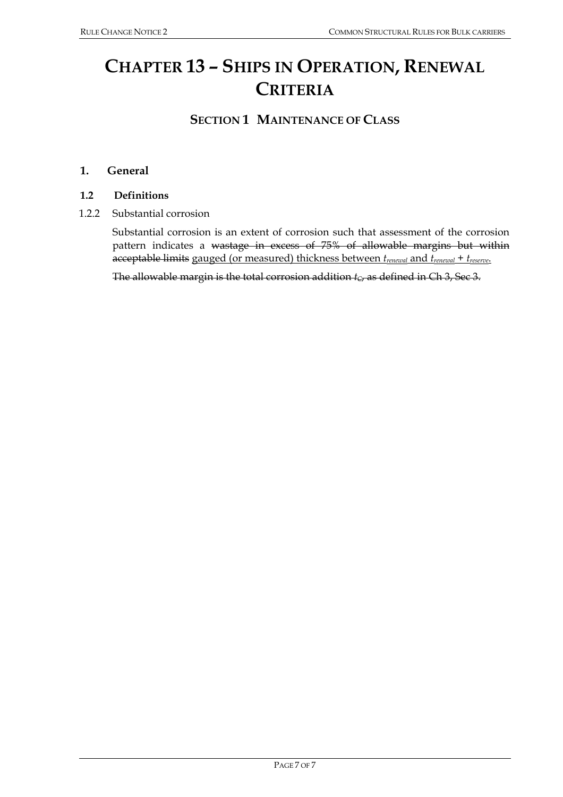# **CHAPTER 13 – SHIPS IN OPERATION, RENEWAL CRITERIA**

## **SECTION 1 MAINTENANCE OF CLASS**

#### **1. General**

#### **1.2 Definitions**

1.2.2 Substantial corrosion

 Substantial corrosion is an extent of corrosion such that assessment of the corrosion pattern indicates a wastage in excess of 75% of allowable margins but within acceptable limits gauged (or measured) thickness between *trenewal* and *trenewal* + *treserve*.

The allowable margin is the total corrosion addition  $t_c$ , as defined in Ch 3, Sec 3.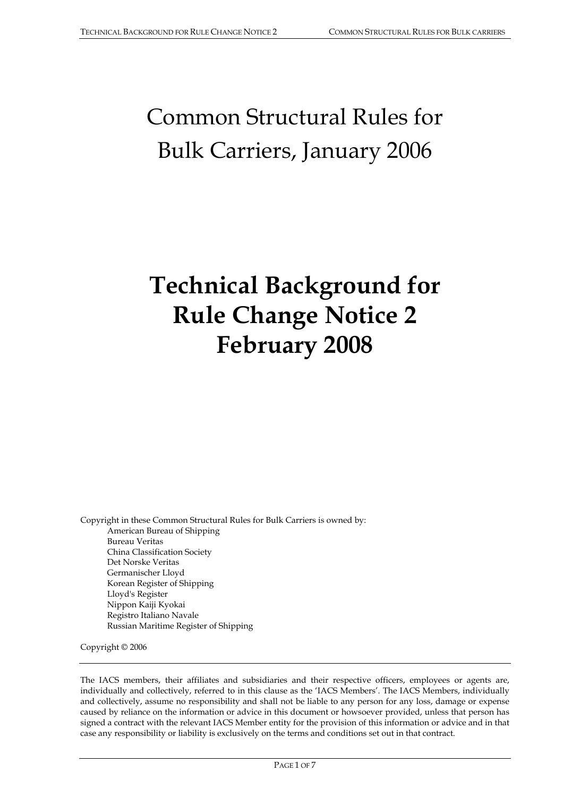# Common Structural Rules for Bulk Carriers, January 2006

# **Technical Background for Rule Change Notice 2 February 2008**

Copyright in these Common Structural Rules for Bulk Carriers is owned by: American Bureau of Shipping Bureau Veritas China Classification Society Det Norske Veritas Germanischer Lloyd Korean Register of Shipping Lloyd's Register Nippon Kaiji Kyokai Registro Italiano Navale Russian Maritime Register of Shipping

Copyright © 2006

The IACS members, their affiliates and subsidiaries and their respective officers, employees or agents are, individually and collectively, referred to in this clause as the 'IACS Members'. The IACS Members, individually and collectively, assume no responsibility and shall not be liable to any person for any loss, damage or expense caused by reliance on the information or advice in this document or howsoever provided, unless that person has signed a contract with the relevant IACS Member entity for the provision of this information or advice and in that case any responsibility or liability is exclusively on the terms and conditions set out in that contract.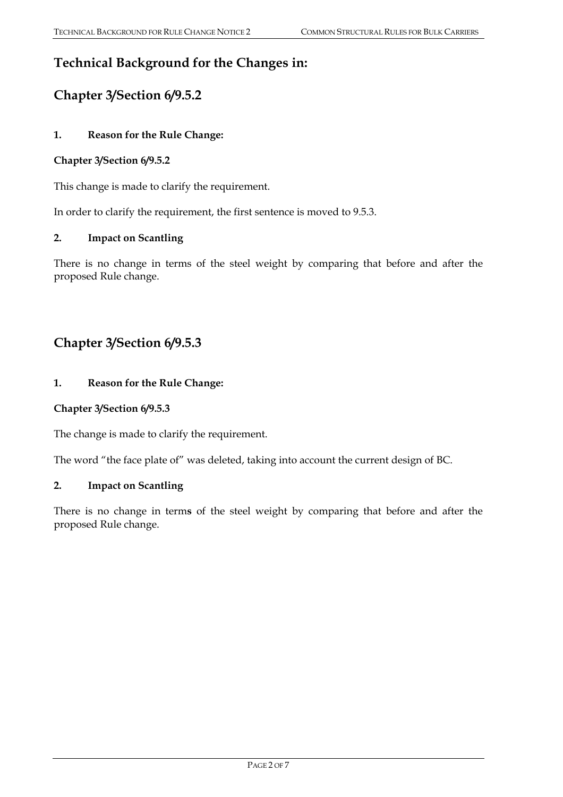# **Technical Background for the Changes in:**

# **Chapter 3/Section 6/9.5.2**

#### **1. Reason for the Rule Change:**

#### **Chapter 3/Section 6/9.5.2**

This change is made to clarify the requirement.

In order to clarify the requirement, the first sentence is moved to 9.5.3.

#### **2. Impact on Scantling**

There is no change in terms of the steel weight by comparing that before and after the proposed Rule change.

## **Chapter 3/Section 6/9.5.3**

#### **1. Reason for the Rule Change:**

#### **Chapter 3/Section 6/9.5.3**

The change is made to clarify the requirement.

The word "the face plate of" was deleted, taking into account the current design of BC.

#### **2. Impact on Scantling**

There is no change in term**s** of the steel weight by comparing that before and after the proposed Rule change.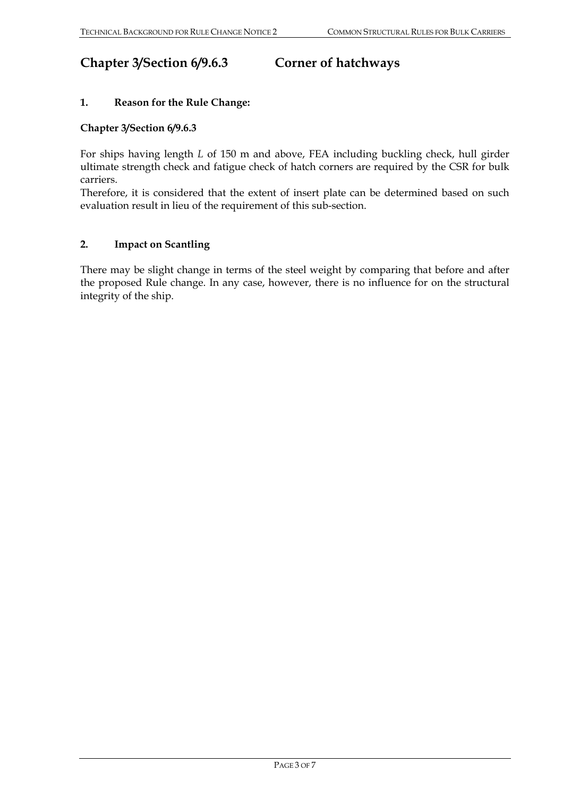# **Chapter 3/Section 6/9.6.3 Corner of hatchways**

#### **1. Reason for the Rule Change:**

#### **Chapter 3/Section 6/9.6.3**

For ships having length *L* of 150 m and above, FEA including buckling check, hull girder ultimate strength check and fatigue check of hatch corners are required by the CSR for bulk carriers.

Therefore, it is considered that the extent of insert plate can be determined based on such evaluation result in lieu of the requirement of this sub-section.

#### **2. Impact on Scantling**

There may be slight change in terms of the steel weight by comparing that before and after the proposed Rule change. In any case, however, there is no influence for on the structural integrity of the ship.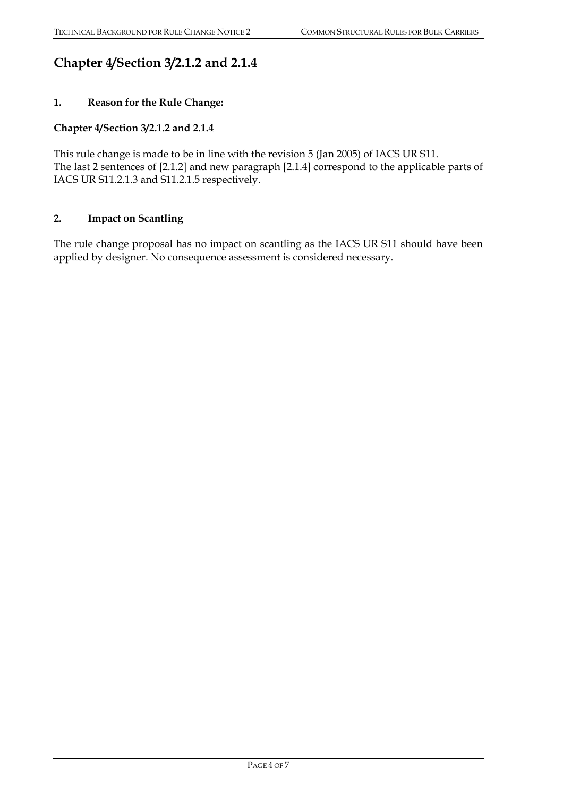# **Chapter 4/Section 3/2.1.2 and 2.1.4**

#### **1. Reason for the Rule Change:**

#### **Chapter 4/Section 3/2.1.2 and 2.1.4**

This rule change is made to be in line with the revision 5 (Jan 2005) of IACS UR S11. The last 2 sentences of [2.1.2] and new paragraph [2.1.4] correspond to the applicable parts of IACS UR S11.2.1.3 and S11.2.1.5 respectively.

#### **2. Impact on Scantling**

The rule change proposal has no impact on scantling as the IACS UR S11 should have been applied by designer. No consequence assessment is considered necessary.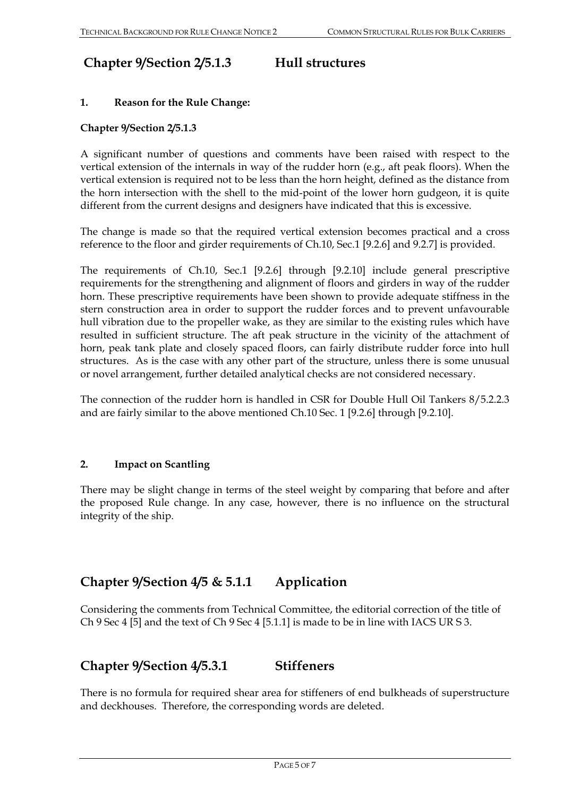### **Chapter 9/Section 2/5.1.3 Hull structures**

#### **1. Reason for the Rule Change:**

#### **Chapter 9/Section 2/5.1.3**

A significant number of questions and comments have been raised with respect to the vertical extension of the internals in way of the rudder horn (e.g., aft peak floors). When the vertical extension is required not to be less than the horn height, defined as the distance from the horn intersection with the shell to the mid-point of the lower horn gudgeon, it is quite different from the current designs and designers have indicated that this is excessive.

The change is made so that the required vertical extension becomes practical and a cross reference to the floor and girder requirements of Ch.10, Sec.1 [9.2.6] and 9.2.7] is provided.

The requirements of Ch.10, Sec.1 [9.2.6] through [9.2.10] include general prescriptive requirements for the strengthening and alignment of floors and girders in way of the rudder horn. These prescriptive requirements have been shown to provide adequate stiffness in the stern construction area in order to support the rudder forces and to prevent unfavourable hull vibration due to the propeller wake, as they are similar to the existing rules which have resulted in sufficient structure. The aft peak structure in the vicinity of the attachment of horn, peak tank plate and closely spaced floors, can fairly distribute rudder force into hull structures. As is the case with any other part of the structure, unless there is some unusual or novel arrangement, further detailed analytical checks are not considered necessary.

The connection of the rudder horn is handled in CSR for Double Hull Oil Tankers 8/5.2.2.3 and are fairly similar to the above mentioned Ch.10 Sec. 1 [9.2.6] through [9.2.10].

#### **2. Impact on Scantling**

There may be slight change in terms of the steel weight by comparing that before and after the proposed Rule change. In any case, however, there is no influence on the structural integrity of the ship.

### **Chapter 9/Section 4/5 & 5.1.1 Application**

Considering the comments from Technical Committee, the editorial correction of the title of Ch 9 Sec 4 [5] and the text of Ch 9 Sec 4 [5.1.1] is made to be in line with IACS UR S 3.

### **Chapter 9/Section 4/5.3.1 Stiffeners**

There is no formula for required shear area for stiffeners of end bulkheads of superstructure and deckhouses. Therefore, the corresponding words are deleted.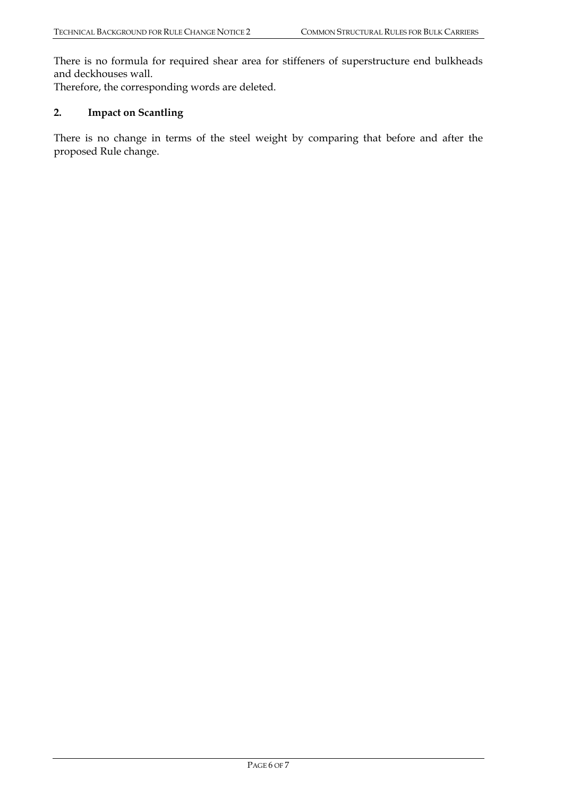There is no formula for required shear area for stiffeners of superstructure end bulkheads and deckhouses wall.

Therefore, the corresponding words are deleted.

### **2. Impact on Scantling**

There is no change in terms of the steel weight by comparing that before and after the proposed Rule change.